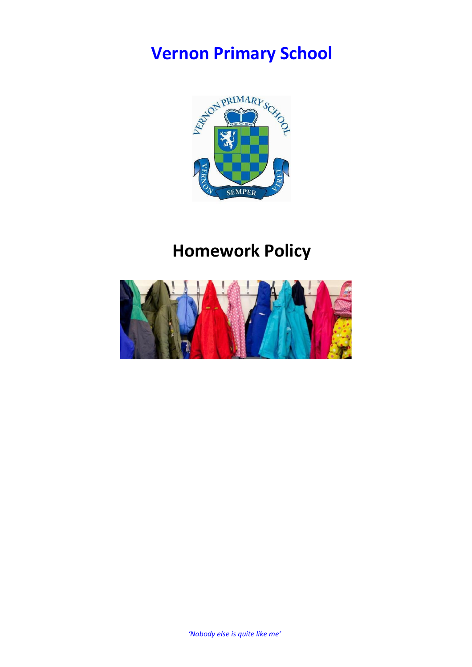# **Vernon Primary School**



## **Homework Policy**

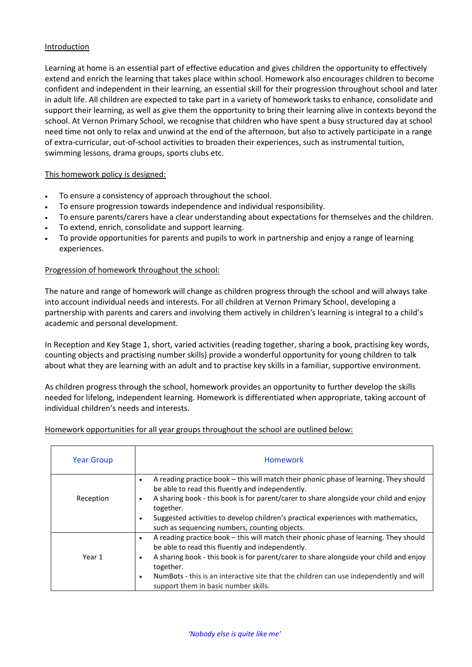## Introduction

Learning at home is an essential part of effective education and gives children the opportunity to effectively extend and enrich the learning that takes place within school. Homework also encourages children to become confident and independent in their learning, an essential skill for their progression throughout school and later in adult life. All children are expected to take part in a variety of homework tasks to enhance, consolidate and support their learning, as well as give them the opportunity to bring their learning alive in contexts beyond the school. At Vernon Primary School, we recognise that children who have spent a busy structured day at school need time not only to relax and unwind at the end of the afternoon, but also to actively participate in a range of extra-curricular, out-of-school activities to broaden their experiences, such as instrumental tuition, swimming lessons, drama groups, sports clubs etc.

### This homework policy is designed:

- To ensure a consistency of approach throughout the school.
- To ensure progression towards independence and individual responsibility.
- To ensure parents/carers have a clear understanding about expectations for themselves and the children.
- To extend, enrich, consolidate and support learning.
- To provide opportunities for parents and pupils to work in partnership and enjoy a range of learning experiences.

## Progression of homework throughout the school:

The nature and range of homework will change as children progress through the school and will always take into account individual needs and interests. For all children at Vernon Primary School, developing a partnership with parents and carers and involving them actively in children's learning is integral to a child's academic and personal development.

In Reception and Key Stage 1, short, varied activities (reading together, sharing a book, practising key words, counting objects and practising number skills) provide a wonderful opportunity for young children to talk about what they are learning with an adult and to practise key skills in a familiar, supportive environment.

As children progress through the school, homework provides an opportunity to further develop the skills needed for lifelong, independent learning. Homework is differentiated when appropriate, taking account of individual children's needs and interests.

### Homework opportunities for all year groups throughout the school are outlined below:

| <b>Year Group</b> | <b>Homework</b>                                                                                                                                                                                                                                                                                                                                                                                      |
|-------------------|------------------------------------------------------------------------------------------------------------------------------------------------------------------------------------------------------------------------------------------------------------------------------------------------------------------------------------------------------------------------------------------------------|
| Reception         | A reading practice book – this will match their phonic phase of learning. They should<br>$\bullet$<br>be able to read this fluently and independently.<br>A sharing book - this book is for parent/carer to share alongside your child and enjoy<br>together.<br>Suggested activities to develop children's practical experiences with mathematics,<br>such as sequencing numbers, counting objects. |
| Year 1            | A reading practice book – this will match their phonic phase of learning. They should<br>$\bullet$<br>be able to read this fluently and independently.<br>A sharing book - this book is for parent/carer to share alongside your child and enjoy<br>together.<br>NumBots - this is an interactive site that the children can use independently and will<br>support them in basic number skills.      |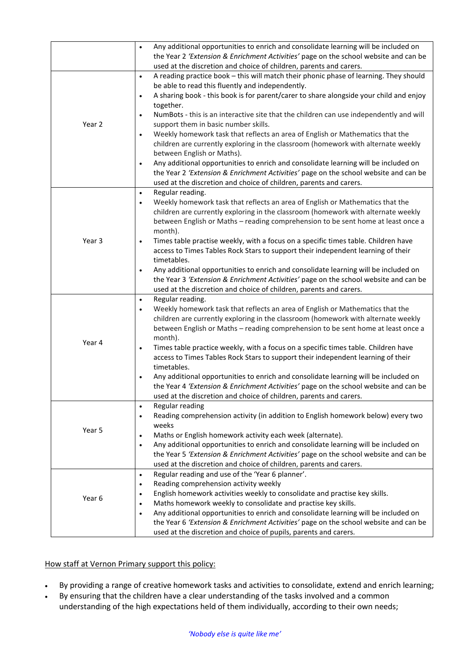|        | Any additional opportunities to enrich and consolidate learning will be included on<br>$\bullet$    |
|--------|-----------------------------------------------------------------------------------------------------|
|        | the Year 2 'Extension & Enrichment Activities' page on the school website and can be                |
|        | used at the discretion and choice of children, parents and carers.                                  |
| Year 2 | A reading practice book - this will match their phonic phase of learning. They should<br>$\bullet$  |
|        | be able to read this fluently and independently.                                                    |
|        | A sharing book - this book is for parent/carer to share alongside your child and enjoy<br>$\bullet$ |
|        | together.                                                                                           |
|        | NumBots - this is an interactive site that the children can use independently and will<br>$\bullet$ |
|        | support them in basic number skills.                                                                |
|        | Weekly homework task that reflects an area of English or Mathematics that the<br>$\bullet$          |
|        | children are currently exploring in the classroom (homework with alternate weekly                   |
|        | between English or Maths).                                                                          |
|        | Any additional opportunities to enrich and consolidate learning will be included on<br>$\bullet$    |
|        | the Year 2 'Extension & Enrichment Activities' page on the school website and can be                |
|        | used at the discretion and choice of children, parents and carers.                                  |
|        | Regular reading.<br>$\bullet$                                                                       |
|        | Weekly homework task that reflects an area of English or Mathematics that the<br>$\bullet$          |
|        | children are currently exploring in the classroom (homework with alternate weekly                   |
|        | between English or Maths - reading comprehension to be sent home at least once a                    |
|        | month).                                                                                             |
| Year 3 | Times table practise weekly, with a focus on a specific times table. Children have<br>$\bullet$     |
|        | access to Times Tables Rock Stars to support their independent learning of their                    |
|        | timetables.                                                                                         |
|        | Any additional opportunities to enrich and consolidate learning will be included on<br>$\bullet$    |
|        | the Year 3 'Extension & Enrichment Activities' page on the school website and can be                |
|        | used at the discretion and choice of children, parents and carers.                                  |
|        | Regular reading.<br>$\bullet$                                                                       |
|        | Weekly homework task that reflects an area of English or Mathematics that the<br>$\bullet$          |
|        | children are currently exploring in the classroom (homework with alternate weekly                   |
|        | between English or Maths - reading comprehension to be sent home at least once a                    |
|        | month).                                                                                             |
| Year 4 | Times table practice weekly, with a focus on a specific times table. Children have<br>$\bullet$     |
|        | access to Times Tables Rock Stars to support their independent learning of their                    |
|        | timetables.                                                                                         |
|        | Any additional opportunities to enrich and consolidate learning will be included on<br>$\bullet$    |
|        | the Year 4 'Extension & Enrichment Activities' page on the school website and can be                |
|        | used at the discretion and choice of children, parents and carers.                                  |
| Year 5 | Regular reading<br>$\bullet$                                                                        |
|        | Reading comprehension activity (in addition to English homework below) every two<br>$\bullet$       |
|        | weeks                                                                                               |
|        | Maths or English homework activity each week (alternate).<br>$\bullet$                              |
|        | Any additional opportunities to enrich and consolidate learning will be included on<br>$\bullet$    |
|        | the Year 5 'Extension & Enrichment Activities' page on the school website and can be                |
|        | used at the discretion and choice of children, parents and carers.                                  |
| Year 6 | Regular reading and use of the 'Year 6 planner'.<br>$\bullet$                                       |
|        | Reading comprehension activity weekly<br>$\bullet$                                                  |
|        | English homework activities weekly to consolidate and practise key skills.<br>$\bullet$             |
|        | Maths homework weekly to consolidate and practise key skills.<br>٠                                  |
|        | Any additional opportunities to enrich and consolidate learning will be included on<br>$\bullet$    |
|        | the Year 6 'Extension & Enrichment Activities' page on the school website and can be                |
|        | used at the discretion and choice of pupils, parents and carers.                                    |

How staff at Vernon Primary support this policy:

- By providing a range of creative homework tasks and activities to consolidate, extend and enrich learning;
- By ensuring that the children have a clear understanding of the tasks involved and a common understanding of the high expectations held of them individually, according to their own needs;